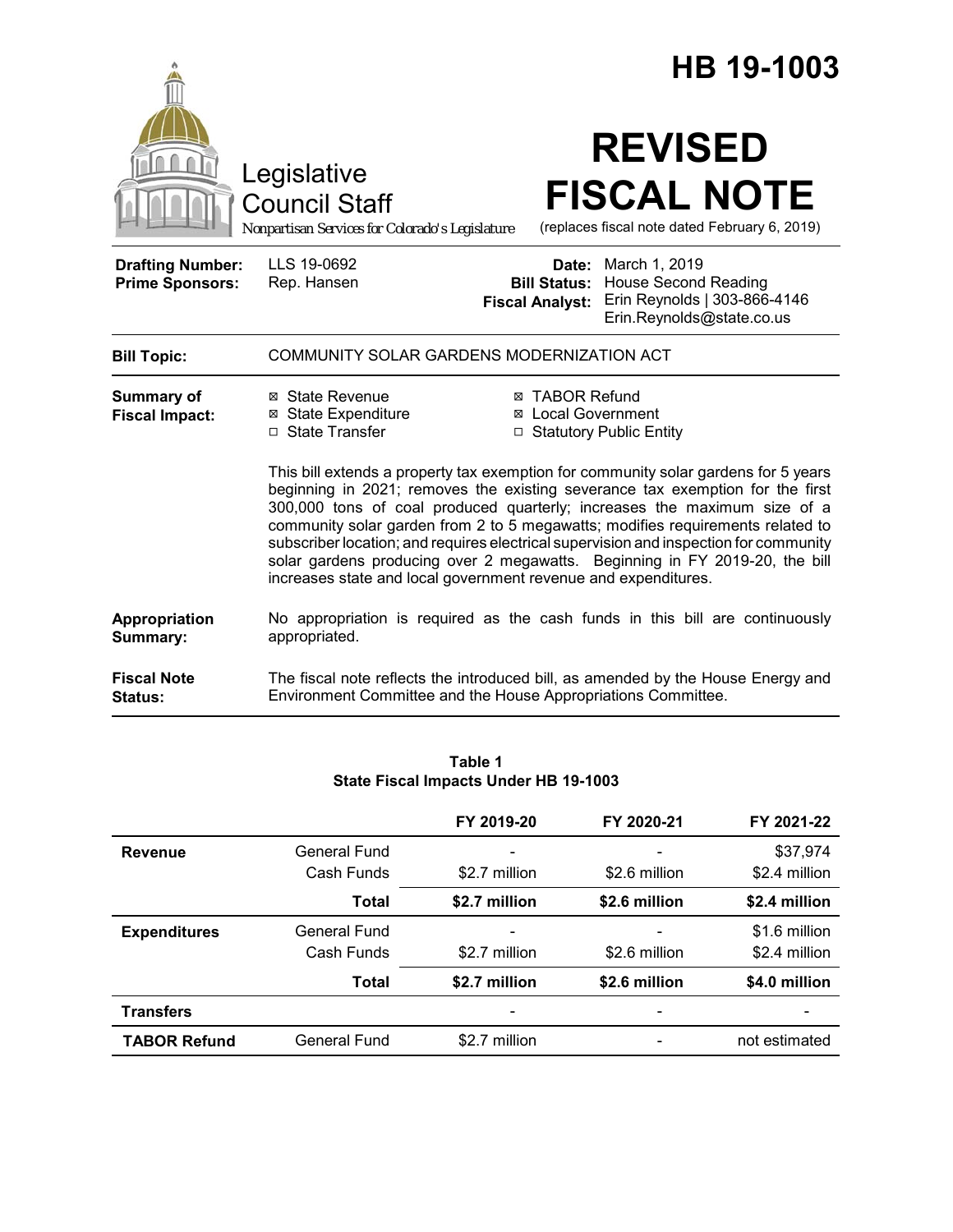|                                                   |                                                                                                                                                                                                                                                                                                                                                                                                                                                                                                                                                                             |                                                                                 |  | HB 19-1003                                                                               |
|---------------------------------------------------|-----------------------------------------------------------------------------------------------------------------------------------------------------------------------------------------------------------------------------------------------------------------------------------------------------------------------------------------------------------------------------------------------------------------------------------------------------------------------------------------------------------------------------------------------------------------------------|---------------------------------------------------------------------------------|--|------------------------------------------------------------------------------------------|
|                                                   | Legislative<br><b>Council Staff</b><br>Nonpartisan Services for Colorado's Legislature                                                                                                                                                                                                                                                                                                                                                                                                                                                                                      |                                                                                 |  | <b>REVISED</b><br><b>FISCAL NOTE</b><br>(replaces fiscal note dated February 6, 2019)    |
| <b>Drafting Number:</b><br><b>Prime Sponsors:</b> | LLS 19-0692<br>Rep. Hansen                                                                                                                                                                                                                                                                                                                                                                                                                                                                                                                                                  | <b>Date:</b> March 1, 2019<br><b>Bill Status:</b><br><b>Fiscal Analyst:</b>     |  | <b>House Second Reading</b><br>Erin Reynolds   303-866-4146<br>Erin.Reynolds@state.co.us |
| <b>Bill Topic:</b>                                | COMMUNITY SOLAR GARDENS MODERNIZATION ACT                                                                                                                                                                                                                                                                                                                                                                                                                                                                                                                                   |                                                                                 |  |                                                                                          |
| <b>Summary of</b><br><b>Fiscal Impact:</b>        | ⊠ State Revenue<br><b>⊠</b> State Expenditure<br>□ State Transfer                                                                                                                                                                                                                                                                                                                                                                                                                                                                                                           | <b>⊠ TABOR Refund</b><br><b>⊠</b> Local Government<br>□ Statutory Public Entity |  |                                                                                          |
|                                                   | This bill extends a property tax exemption for community solar gardens for 5 years<br>beginning in 2021; removes the existing severance tax exemption for the first<br>300,000 tons of coal produced quarterly; increases the maximum size of a<br>community solar garden from 2 to 5 megawatts; modifies requirements related to<br>subscriber location; and requires electrical supervision and inspection for community<br>solar gardens producing over 2 megawatts. Beginning in FY 2019-20, the bill<br>increases state and local government revenue and expenditures. |                                                                                 |  |                                                                                          |
| Appropriation<br>Summary:                         | No appropriation is required as the cash funds in this bill are continuously<br>appropriated.                                                                                                                                                                                                                                                                                                                                                                                                                                                                               |                                                                                 |  |                                                                                          |
| <b>Fiscal Note</b><br>Status:                     | The fiscal note reflects the introduced bill, as amended by the House Energy and<br>Environment Committee and the House Appropriations Committee.                                                                                                                                                                                                                                                                                                                                                                                                                           |                                                                                 |  |                                                                                          |

|                     |              | FY 2019-20    | FY 2020-21    | FY 2021-22    |
|---------------------|--------------|---------------|---------------|---------------|
| <b>Revenue</b>      | General Fund |               |               | \$37,974      |
|                     | Cash Funds   | \$2.7 million | \$2.6 million | \$2.4 million |
|                     | <b>Total</b> | \$2.7 million | \$2.6 million | \$2.4 million |
| <b>Expenditures</b> | General Fund |               |               | \$1.6 million |
|                     | Cash Funds   | \$2.7 million | \$2.6 million | \$2.4 million |
|                     | <b>Total</b> | \$2.7 million | \$2.6 million | \$4.0 million |
| <b>Transfers</b>    |              |               |               |               |
| <b>TABOR Refund</b> | General Fund | \$2.7 million |               | not estimated |

#### **Table 1 State Fiscal Impacts Under HB 19-1003**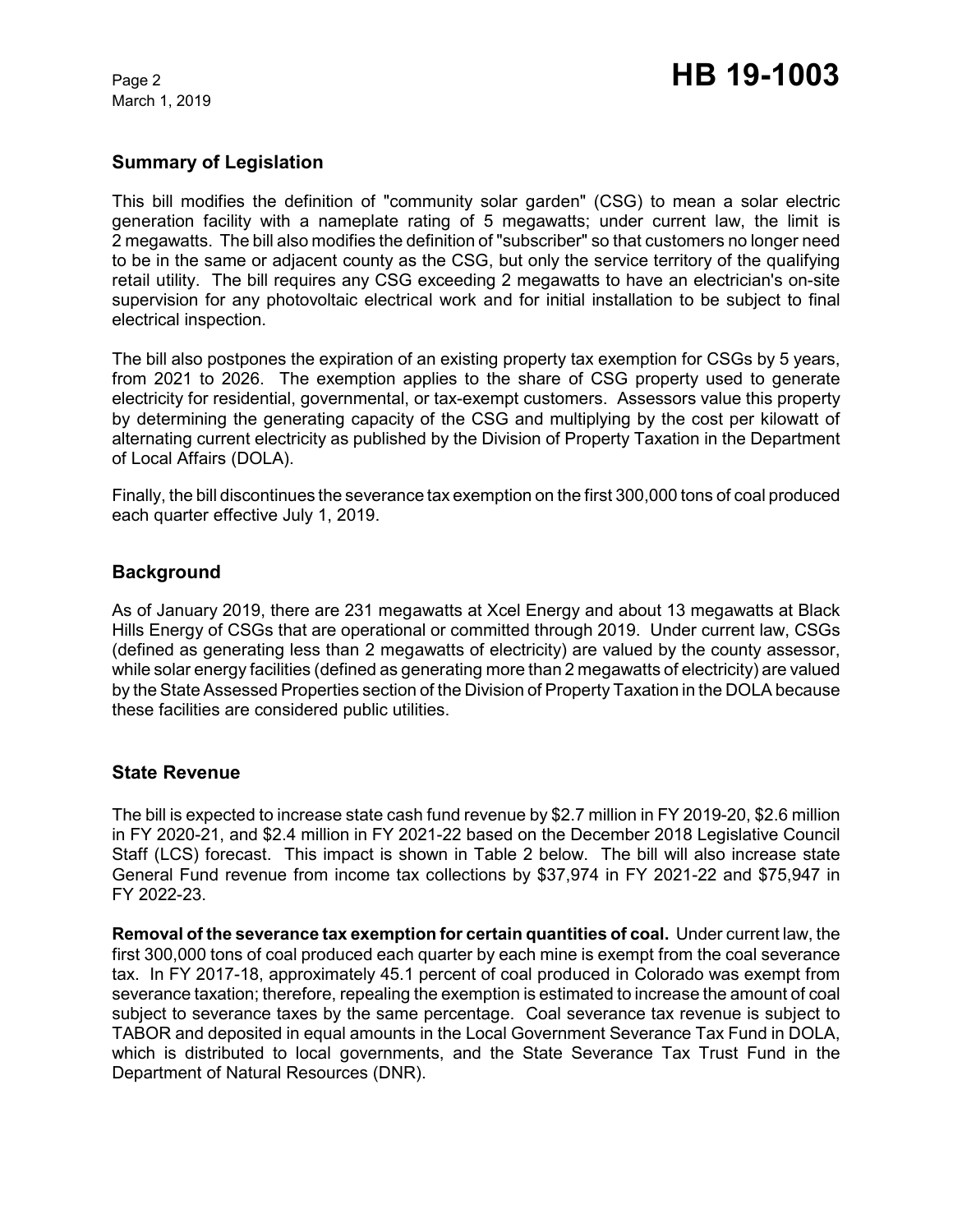March 1, 2019

# **Summary of Legislation**

This bill modifies the definition of "community solar garden" (CSG) to mean a solar electric generation facility with a nameplate rating of 5 megawatts; under current law, the limit is 2 megawatts. The bill also modifies the definition of "subscriber" so that customers no longer need to be in the same or adjacent county as the CSG, but only the service territory of the qualifying retail utility. The bill requires any CSG exceeding 2 megawatts to have an electrician's on-site supervision for any photovoltaic electrical work and for initial installation to be subject to final electrical inspection.

The bill also postpones the expiration of an existing property tax exemption for CSGs by 5 years, from 2021 to 2026. The exemption applies to the share of CSG property used to generate electricity for residential, governmental, or tax-exempt customers. Assessors value this property by determining the generating capacity of the CSG and multiplying by the cost per kilowatt of alternating current electricity as published by the Division of Property Taxation in the Department of Local Affairs (DOLA).

Finally, the bill discontinues the severance tax exemption on the first 300,000 tons of coal produced each quarter effective July 1, 2019.

## **Background**

As of January 2019, there are 231 megawatts at Xcel Energy and about 13 megawatts at Black Hills Energy of CSGs that are operational or committed through 2019. Under current law, CSGs (defined as generating less than 2 megawatts of electricity) are valued by the county assessor, while solar energy facilities (defined as generating more than 2 megawatts of electricity) are valued by the State Assessed Properties section of the Division of Property Taxation in the DOLA because these facilities are considered public utilities.

#### **State Revenue**

The bill is expected to increase state cash fund revenue by \$2.7 million in FY 2019-20, \$2.6 million in FY 2020-21, and \$2.4 million in FY 2021-22 based on the December 2018 Legislative Council Staff (LCS) forecast. This impact is shown in Table 2 below. The bill will also increase state General Fund revenue from income tax collections by \$37,974 in FY 2021-22 and \$75,947 in FY 2022-23.

**Removal of the severance tax exemption for certain quantities of coal.** Under current law, the first 300,000 tons of coal produced each quarter by each mine is exempt from the coal severance tax. In FY 2017-18, approximately 45.1 percent of coal produced in Colorado was exempt from severance taxation; therefore, repealing the exemption is estimated to increase the amount of coal subject to severance taxes by the same percentage. Coal severance tax revenue is subject to TABOR and deposited in equal amounts in the Local Government Severance Tax Fund in DOLA, which is distributed to local governments, and the State Severance Tax Trust Fund in the Department of Natural Resources (DNR).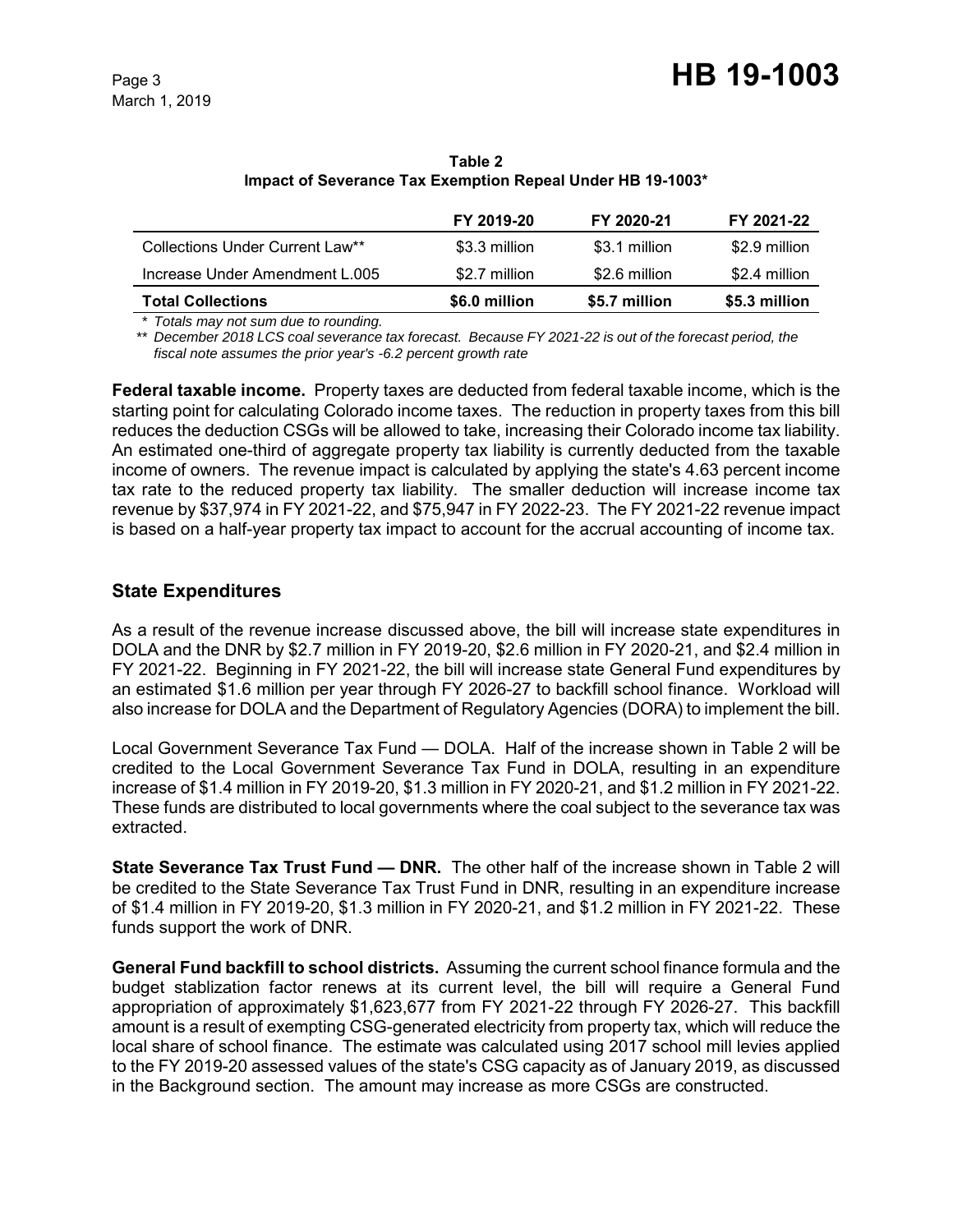|                                 | FY 2019-20    | FY 2020-21    | FY 2021-22    |
|---------------------------------|---------------|---------------|---------------|
| Collections Under Current Law** | \$3.3 million | \$3.1 million | \$2.9 million |
| Increase Under Amendment L.005  | \$2.7 million | \$2.6 million | \$2.4 million |
| <b>Total Collections</b>        | \$6.0 million | \$5.7 million | \$5.3 million |

**Table 2 Impact of Severance Tax Exemption Repeal Under HB 19-1003\***

*\* Totals may not sum due to rounding.*

*\*\* December 2018 LCS coal severance tax forecast. Because FY 2021-22 is out of the forecast period, the fiscal note assumes the prior year's -6.2 percent growth rate*

**Federal taxable income.** Property taxes are deducted from federal taxable income, which is the starting point for calculating Colorado income taxes. The reduction in property taxes from this bill reduces the deduction CSGs will be allowed to take, increasing their Colorado income tax liability. An estimated one-third of aggregate property tax liability is currently deducted from the taxable income of owners. The revenue impact is calculated by applying the state's 4.63 percent income tax rate to the reduced property tax liability. The smaller deduction will increase income tax revenue by \$37,974 in FY 2021-22, and \$75,947 in FY 2022-23. The FY 2021-22 revenue impact is based on a half-year property tax impact to account for the accrual accounting of income tax.

# **State Expenditures**

As a result of the revenue increase discussed above, the bill will increase state expenditures in DOLA and the DNR by \$2.7 million in FY 2019-20, \$2.6 million in FY 2020-21, and \$2.4 million in FY 2021-22. Beginning in FY 2021-22, the bill will increase state General Fund expenditures by an estimated \$1.6 million per year through FY 2026-27 to backfill school finance. Workload will also increase for DOLA and the Department of Regulatory Agencies (DORA) to implement the bill.

Local Government Severance Tax Fund — DOLA. Half of the increase shown in Table 2 will be credited to the Local Government Severance Tax Fund in DOLA, resulting in an expenditure increase of \$1.4 million in FY 2019-20, \$1.3 million in FY 2020-21, and \$1.2 million in FY 2021-22. These funds are distributed to local governments where the coal subject to the severance tax was extracted.

**State Severance Tax Trust Fund — DNR.** The other half of the increase shown in Table 2 will be credited to the State Severance Tax Trust Fund in DNR, resulting in an expenditure increase of \$1.4 million in FY 2019-20, \$1.3 million in FY 2020-21, and \$1.2 million in FY 2021-22. These funds support the work of DNR.

**General Fund backfill to school districts.** Assuming the current school finance formula and the budget stablization factor renews at its current level, the bill will require a General Fund appropriation of approximately \$1,623,677 from FY 2021-22 through FY 2026-27. This backfill amount is a result of exempting CSG-generated electricity from property tax, which will reduce the local share of school finance. The estimate was calculated using 2017 school mill levies applied to the FY 2019-20 assessed values of the state's CSG capacity as of January 2019, as discussed in the Background section. The amount may increase as more CSGs are constructed.